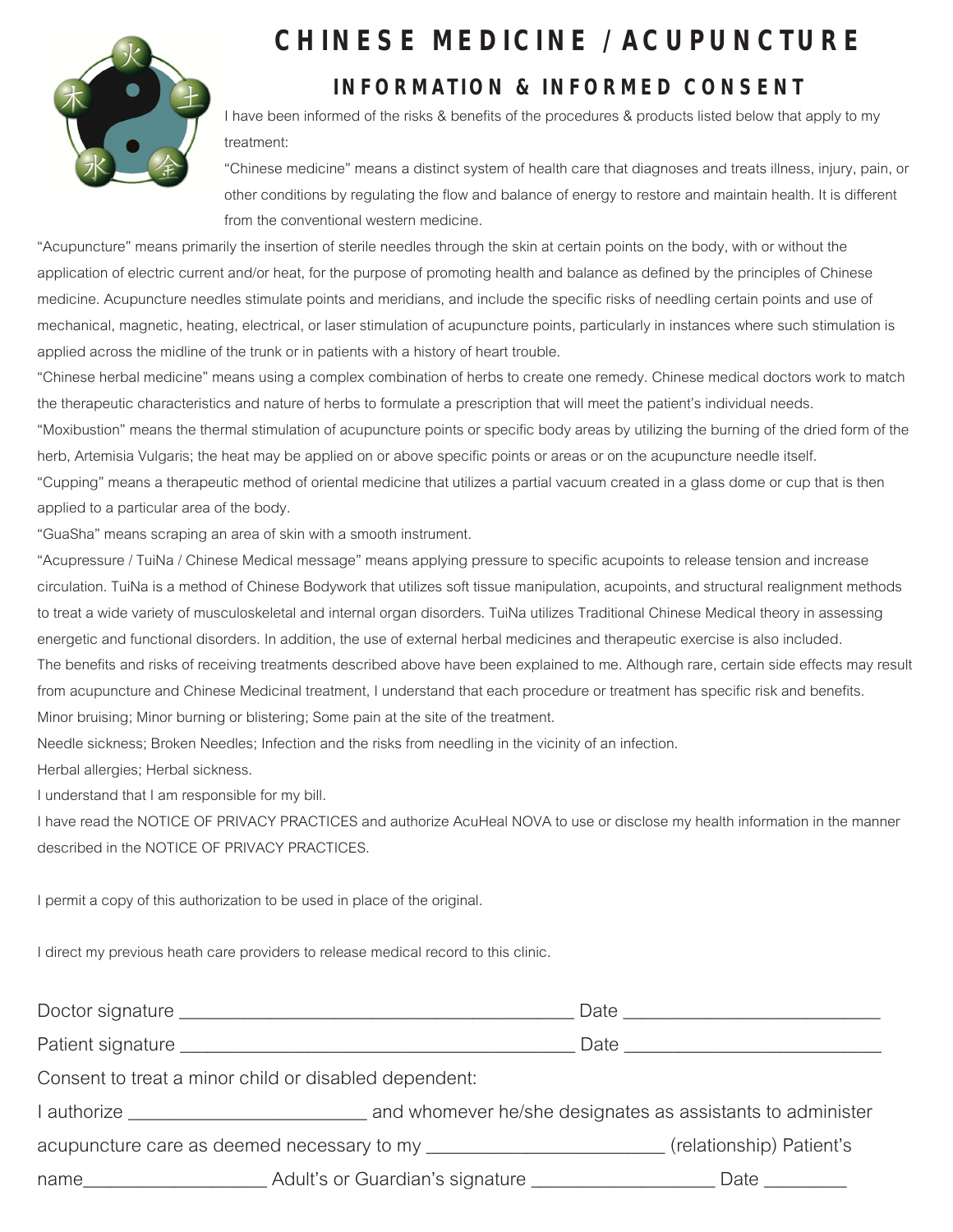

# **CHINESE MEDICINE / ACUPUNCTURE**

### **INFORMATION & INFORMED CONSENT**

I have been informed of the risks & benefits of the procedures & products listed below that apply to my treatment:

"Chinese medicine" means a distinct system of health care that diagnoses and treats illness, injury, pain, or other conditions by regulating the flow and balance of energy to restore and maintain health. It is different from the conventional western medicine.

"Acupuncture" means primarily the insertion of sterile needles through the skin at certain points on the body, with or without the application of electric current and/or heat, for the purpose of promoting health and balance as defined by the principles of Chinese medicine. Acupuncture needles stimulate points and meridians, and include the specific risks of needling certain points and use of mechanical, magnetic, heating, electrical, or laser stimulation of acupuncture points, particularly in instances where such stimulation is applied across the midline of the trunk or in patients with a history of heart trouble.

"Chinese herbal medicine" means using a complex combination of herbs to create one remedy. Chinese medical doctors work to match the therapeutic characteristics and nature of herbs to formulate a prescription that will meet the patient's individual needs.

"Moxibustion" means the thermal stimulation of acupuncture points or specific body areas by utilizing the burning of the dried form of the herb, Artemisia Vulgaris; the heat may be applied on or above specific points or areas or on the acupuncture needle itself.

"Cupping" means a therapeutic method of oriental medicine that utilizes a partial vacuum created in a glass dome or cup that is then applied to a particular area of the body.

"GuaSha" means scraping an area of skin with a smooth instrument.

"Acupressure / TuiNa / Chinese Medical message" means applying pressure to specific acupoints to release tension and increase circulation. TuiNa is a method of Chinese Bodywork that utilizes soft tissue manipulation, acupoints, and structural realignment methods to treat a wide variety of musculoskeletal and internal organ disorders. TuiNa utilizes Traditional Chinese Medical theory in assessing energetic and functional disorders. In addition, the use of external herbal medicines and therapeutic exercise is also included. The benefits and risks of receiving treatments described above have been explained to me. Although rare, certain side effects may result from acupuncture and Chinese Medicinal treatment, I understand that each procedure or treatment has specific risk and benefits. Minor bruising; Minor burning or blistering; Some pain at the site of the treatment.

Needle sickness; Broken Needles; Infection and the risks from needling in the vicinity of an infection.

Herbal allergies; Herbal sickness.

I understand that I am responsible for my bill.

I have read the NOTICE OF PRIVACY PRACTICES and authorize AcuHeal NOVA to use or disclose my health information in the manner described in the NOTICE OF PRIVACY PRACTICES.

I permit a copy of this authorization to be used in place of the original.

I direct my previous heath care providers to release medical record to this clinic.

| Consent to treat a minor child or disabled dependent: |                                                    |                          |
|-------------------------------------------------------|----------------------------------------------------|--------------------------|
|                                                       |                                                    |                          |
|                                                       |                                                    | (relationship) Patient's |
|                                                       | name <b>Manual Adult's or Guardian's signature</b> | Date                     |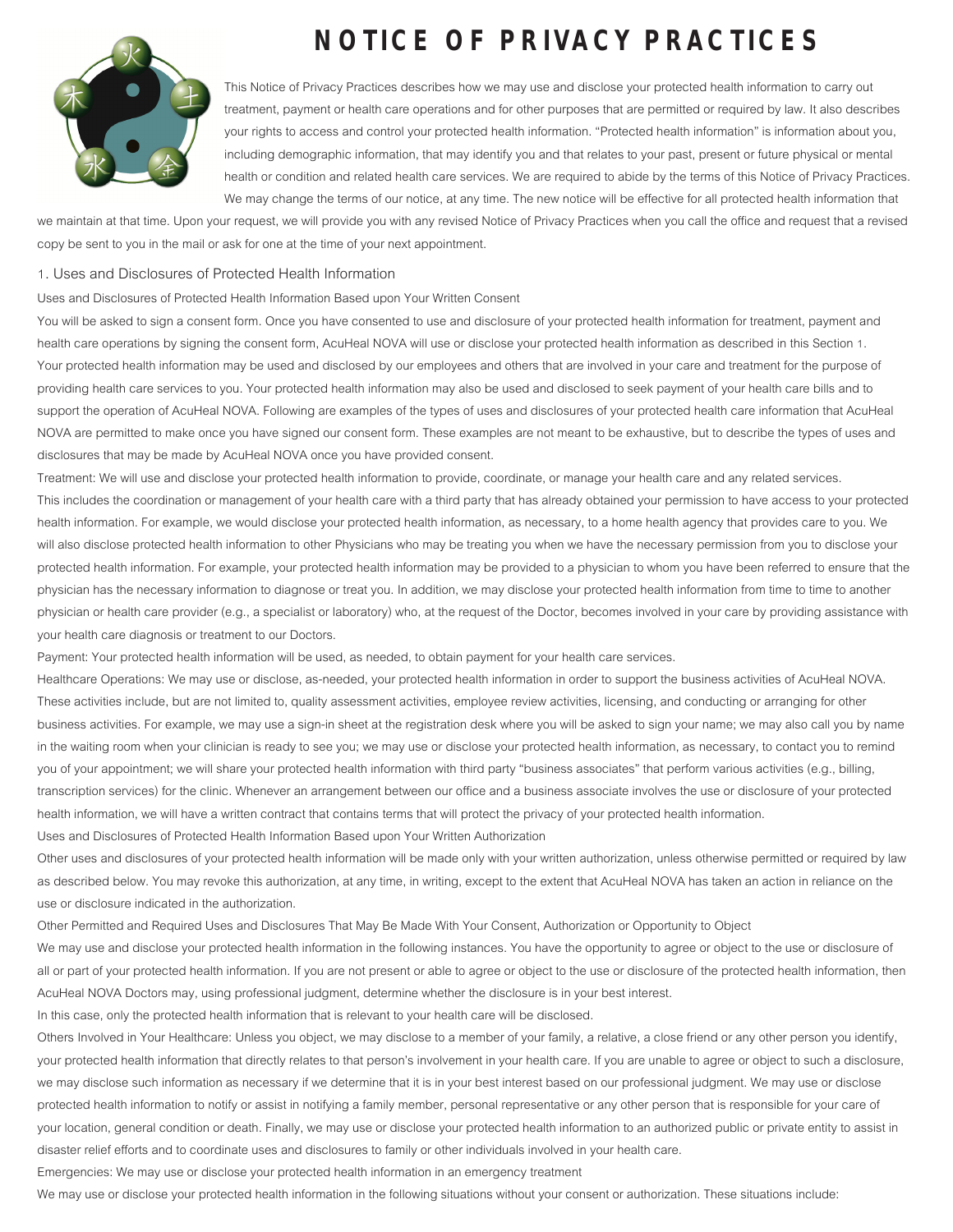

## **NOTICE OF PRIVACY PRACTICES**

This Notice of Privacy Practices describes how we may use and disclose your protected health information to carry out treatment, payment or health care operations and for other purposes that are permitted or required by law. It also describes your rights to access and control your protected health information. "Protected health information" is information about you, including demographic information, that may identify you and that relates to your past, present or future physical or mental health or condition and related health care services. We are required to abide by the terms of this Notice of Privacy Practices. We may change the terms of our notice, at any time. The new notice will be effective for all protected health information that

we maintain at that time. Upon your request, we will provide you with any revised Notice of Privacy Practices when you call the office and request that a revised copy be sent to you in the mail or ask for one at the time of your next appointment.

#### 1. Uses and Disclosures of Protected Health Information

Uses and Disclosures of Protected Health Information Based upon Your Written Consent

You will be asked to sign a consent form. Once you have consented to use and disclosure of your protected health information for treatment, payment and health care operations by signing the consent form, AcuHeal NOVA will use or disclose your protected health information as described in this Section 1. Your protected health information may be used and disclosed by our employees and others that are involved in your care and treatment for the purpose of providing health care services to you. Your protected health information may also be used and disclosed to seek payment of your health care bills and to support the operation of AcuHeal NOVA. Following are examples of the types of uses and disclosures of your protected health care information that AcuHeal NOVA are permitted to make once you have signed our consent form. These examples are not meant to be exhaustive, but to describe the types of uses and disclosures that may be made by AcuHeal NOVA once you have provided consent.

Treatment: We will use and disclose your protected health information to provide, coordinate, or manage your health care and any related services.

This includes the coordination or management of your health care with a third party that has already obtained your permission to have access to your protected health information. For example, we would disclose your protected health information, as necessary, to a home health agency that provides care to you. We will also disclose protected health information to other Physicians who may be treating you when we have the necessary permission from you to disclose your protected health information. For example, your protected health information may be provided to a physician to whom you have been referred to ensure that the physician has the necessary information to diagnose or treat you. In addition, we may disclose your protected health information from time to time to another physician or health care provider (e.g., a specialist or laboratory) who, at the request of the Doctor, becomes involved in your care by providing assistance with your health care diagnosis or treatment to our Doctors.

Payment: Your protected health information will be used, as needed, to obtain payment for your health care services.

Healthcare Operations: We may use or disclose, as-needed, your protected health information in order to support the business activities of AcuHeal NOVA. These activities include, but are not limited to, quality assessment activities, employee review activities, licensing, and conducting or arranging for other business activities. For example, we may use a sign-in sheet at the registration desk where you will be asked to sign your name; we may also call you by name in the waiting room when your clinician is ready to see you; we may use or disclose your protected health information, as necessary, to contact you to remind you of your appointment; we will share your protected health information with third party "business associates" that perform various activities (e.g., billing, transcription services) for the clinic. Whenever an arrangement between our office and a business associate involves the use or disclosure of your protected health information, we will have a written contract that contains terms that will protect the privacy of your protected health information.

Uses and Disclosures of Protected Health Information Based upon Your Written Authorization

Other uses and disclosures of your protected health information will be made only with your written authorization, unless otherwise permitted or required by law as described below. You may revoke this authorization, at any time, in writing, except to the extent that AcuHeal NOVA has taken an action in reliance on the use or disclosure indicated in the authorization.

Other Permitted and Required Uses and Disclosures That May Be Made With Your Consent, Authorization or Opportunity to Object

We may use and disclose your protected health information in the following instances. You have the opportunity to agree or object to the use or disclosure of all or part of your protected health information. If you are not present or able to agree or object to the use or disclosure of the protected health information, then AcuHeal NOVA Doctors may, using professional judgment, determine whether the disclosure is in your best interest.

In this case, only the protected health information that is relevant to your health care will be disclosed.

Others Involved in Your Healthcare: Unless you object, we may disclose to a member of your family, a relative, a close friend or any other person you identify, your protected health information that directly relates to that person's involvement in your health care. If you are unable to agree or object to such a disclosure, we may disclose such information as necessary if we determine that it is in your best interest based on our professional judgment. We may use or disclose protected health information to notify or assist in notifying a family member, personal representative or any other person that is responsible for your care of your location, general condition or death. Finally, we may use or disclose your protected health information to an authorized public or private entity to assist in disaster relief efforts and to coordinate uses and disclosures to family or other individuals involved in your health care.

Emergencies: We may use or disclose your protected health information in an emergency treatment

We may use or disclose your protected health information in the following situations without your consent or authorization. These situations include: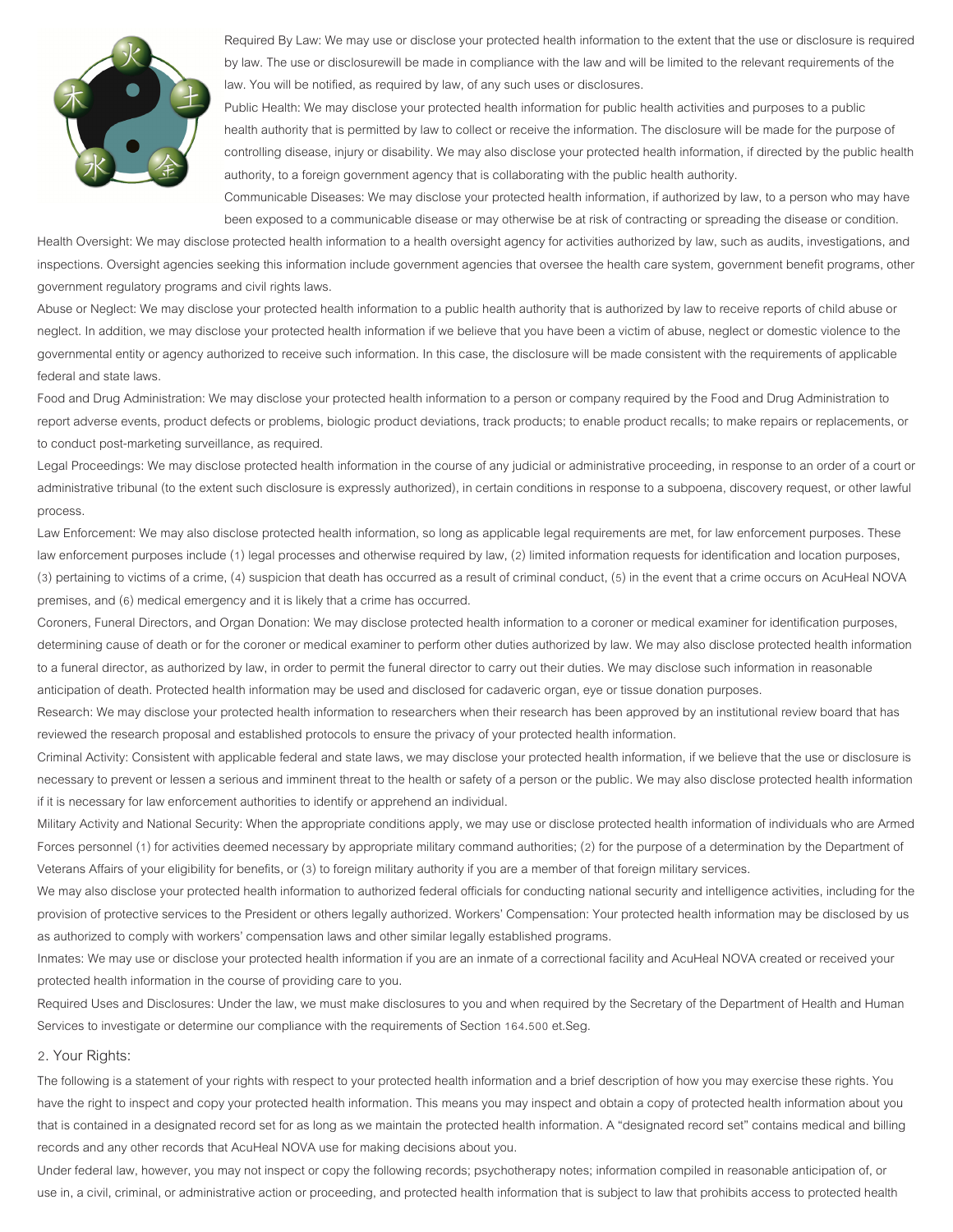

Required By Law: We may use or disclose your protected health information to the extent that the use or disclosure is required by law. The use or disclosurewill be made in compliance with the law and will be limited to the relevant requirements of the law. You will be notified, as required by law, of any such uses or disclosures.

Public Health: We may disclose your protected health information for public health activities and purposes to a public health authority that is permitted by law to collect or receive the information. The disclosure will be made for the purpose of controlling disease, injury or disability. We may also disclose your protected health information, if directed by the public health authority, to a foreign government agency that is collaborating with the public health authority.

Communicable Diseases: We may disclose your protected health information, if authorized by law, to a person who may have been exposed to a communicable disease or may otherwise be at risk of contracting or spreading the disease or condition.

Health Oversight: We may disclose protected health information to a health oversight agency for activities authorized by law, such as audits, investigations, and inspections. Oversight agencies seeking this information include government agencies that oversee the health care system, government benefit programs, other government regulatory programs and civil rights laws.

Abuse or Neglect: We may disclose your protected health information to a public health authority that is authorized by law to receive reports of child abuse or neglect. In addition, we may disclose your protected health information if we believe that you have been a victim of abuse, neglect or domestic violence to the governmental entity or agency authorized to receive such information. In this case, the disclosure will be made consistent with the requirements of applicable federal and state laws.

Food and Drug Administration: We may disclose your protected health information to a person or company required by the Food and Drug Administration to report adverse events, product defects or problems, biologic product deviations, track products; to enable product recalls; to make repairs or replacements, or to conduct post-marketing surveillance, as required.

Legal Proceedings: We may disclose protected health information in the course of any judicial or administrative proceeding, in response to an order of a court or administrative tribunal (to the extent such disclosure is expressly authorized), in certain conditions in response to a subpoena, discovery request, or other lawful process.

Law Enforcement: We may also disclose protected health information, so long as applicable legal requirements are met, for law enforcement purposes. These law enforcement purposes include (1) legal processes and otherwise required by law, (2) limited information requests for identification and location purposes, (3) pertaining to victims of a crime, (4) suspicion that death has occurred as a result of criminal conduct, (5) in the event that a crime occurs on AcuHeal NOVA premises, and (6) medical emergency and it is likely that a crime has occurred.

Coroners, Funeral Directors, and Organ Donation: We may disclose protected health information to a coroner or medical examiner for identification purposes, determining cause of death or for the coroner or medical examiner to perform other duties authorized by law. We may also disclose protected health information to a funeral director, as authorized by law, in order to permit the funeral director to carry out their duties. We may disclose such information in reasonable anticipation of death. Protected health information may be used and disclosed for cadaveric organ, eye or tissue donation purposes.

Research: We may disclose your protected health information to researchers when their research has been approved by an institutional review board that has reviewed the research proposal and established protocols to ensure the privacy of your protected health information.

Criminal Activity: Consistent with applicable federal and state laws, we may disclose your protected health information, if we believe that the use or disclosure is necessary to prevent or lessen a serious and imminent threat to the health or safety of a person or the public. We may also disclose protected health information if it is necessary for law enforcement authorities to identify or apprehend an individual.

Military Activity and National Security: When the appropriate conditions apply, we may use or disclose protected health information of individuals who are Armed Forces personnel (1) for activities deemed necessary by appropriate military command authorities; (2) for the purpose of a determination by the Department of Veterans Affairs of your eligibility for benefits, or (3) to foreign military authority if you are a member of that foreign military services.

We may also disclose your protected health information to authorized federal officials for conducting national security and intelligence activities, including for the provision of protective services to the President or others legally authorized. Workers' Compensation: Your protected health information may be disclosed by us as authorized to comply with workers' compensation laws and other similar legally established programs.

Inmates: We may use or disclose your protected health information if you are an inmate of a correctional facility and AcuHeal NOVA created or received your protected health information in the course of providing care to you.

Required Uses and Disclosures: Under the law, we must make disclosures to you and when required by the Secretary of the Department of Health and Human Services to investigate or determine our compliance with the requirements of Section 164.500 et.Seg.

#### 2. Your Rights:

The following is a statement of your rights with respect to your protected health information and a brief description of how you may exercise these rights. You have the right to inspect and copy your protected health information. This means you may inspect and obtain a copy of protected health information about you that is contained in a designated record set for as long as we maintain the protected health information. A "designated record set" contains medical and billing records and any other records that AcuHeal NOVA use for making decisions about you.

Under federal law, however, you may not inspect or copy the following records; psychotherapy notes; information compiled in reasonable anticipation of, or use in, a civil, criminal, or administrative action or proceeding, and protected health information that is subject to law that prohibits access to protected health